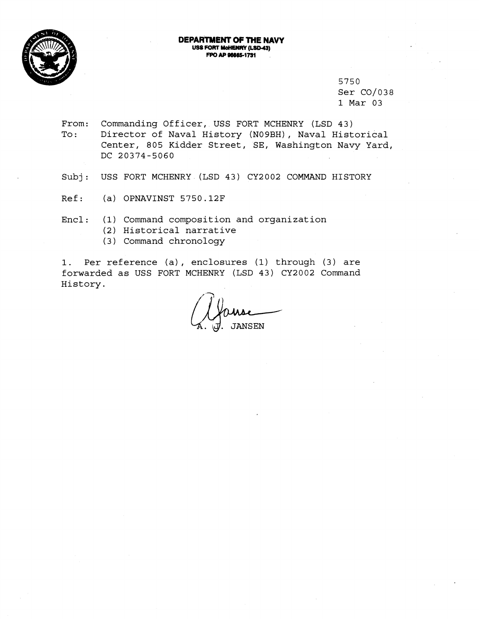

#### **DEPARTMENT OF THE NAVY USS FORT MoHENRY (LSD-43) FPO AP 96665-1731**

5750 Ser C0/038 1 Mar 03

From: Commanding Officer, USS FORT MCHENRY (LSD 43) To: Director of Naval History (N09BH), Naval Historical Center, 805 Kidder Street, SE, Washington Navy Yard, DC 20374-5060

Subj: USS FORT MCHENRY (LSD 43) CY2002 COMMAND HISTORY

Ref: (a) OPNAVINST 5750.12F

Encl: (1) Command composition and organization

- (2) Historical narrative
- (3) Command chronology

1. Per reference (a) , enclosures (1) through (3) are forwarded as USS FORT MCHENRY (LSD 43) CY2002 Command History. . -

**JANSEN**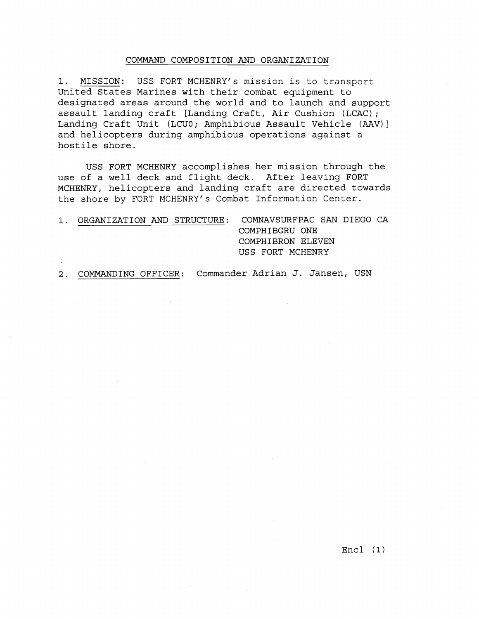## COMMAND COMPOSITION AND ORGANIZATION

1. MISSION: USS FORT MCHENRY's mission is to transport United States Marines with their combat equipment to designated areas around the world and to launch and support assault landing craft [Landing Craft, Air Cushion (LCAC); Landing Craft Unit (LCUO; Amphibious Assault Vehicle (AAV)] and helicopters during amphibious operations against a hostile shore.

USS FORT MCHENRY accomplishes her mission through the use of a well deck and flight deck. After leaving FORT MCHENRY, helicopters and landing craft are directed towards the shore by FORT MCHENRY's Combat Information Center.

|  |  | ORGANIZATION AND STRUCTURE: COMNAVSURFPAC SAN DIEGO CA |
|--|--|--------------------------------------------------------|
|  |  | COMPHIBGRU ONE                                         |
|  |  | COMPHIBRON ELEVEN                                      |
|  |  | USS FORT MCHENRY                                       |

2. COMMANDING OFFICER: Commander Adrian J. Jansen, USN

Encl (1)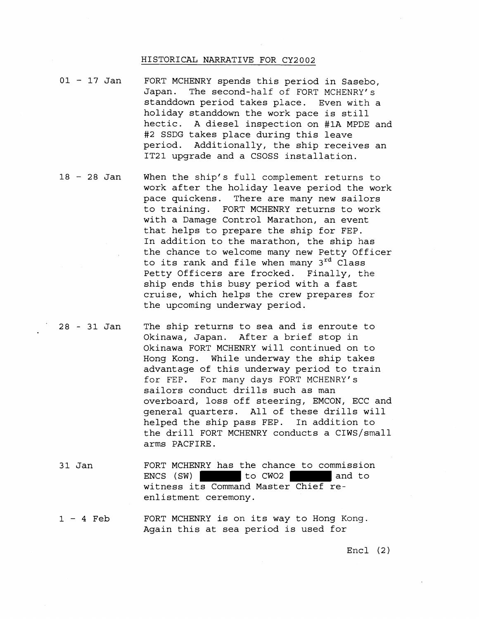## HISTORICAL NARRATIVE FOR CY2002

- 01 17 Jan FORT MCHENRY spends this period in Sasebo, Japan. The second-half of FORT MCHENRY's standdown period takes place. Even with a holiday standdown the work pace is still hectic. A diesel inspection on #1A MPDE and #2 SSDG takes place during this leave period. Additionally, the ship receives an IT21 upgrade and a CSOSS installation.
- <sup>18</sup> 28 Jan When the ship's full complement returns to work after the holiday leave period the work pace quickens. There are many new sailors to training. FORT MCHENRY returns to work with a Damage Control Marathon, an event that helps to prepare the ship for FEP. In addition to the marathon, the ship has the chance to welcome many new Petty Officer to its rank and file when many 3<sup>rd</sup> Class Petty Officers are frocked. Finally, the ship ends this busy period with a fast cruise, which helps the crew prepares for the upcoming underway period.
- 28-31Jan The ship returns to sea and is enroute to Okinawa, Japan. After a brief stop in Okinawa FORT MCHENRY will continued on to Hong Kong. While underway the ship takes advantage of this underway period to train for FEP. For many days FORT MCHENRY' s sailors conduct drills such as man overboard, loss off steering, EMCON, ECC and general quarters. All of these drills will helped the ship pass FEP. In addition to the drill FORT MCHENRY conducts a CIWS/small arms PACFIRE .
	- 3 1 Jan FORT MCHENRY has the chance to commission ENCS (SW) to CW02 and to witness its Command Master Chief reenlistment ceremony.
	- **<sup>1</sup>** 4 Feb FORT MCHENRY is on its way to Hong Kong. Again this at sea period is used for

Encl (2)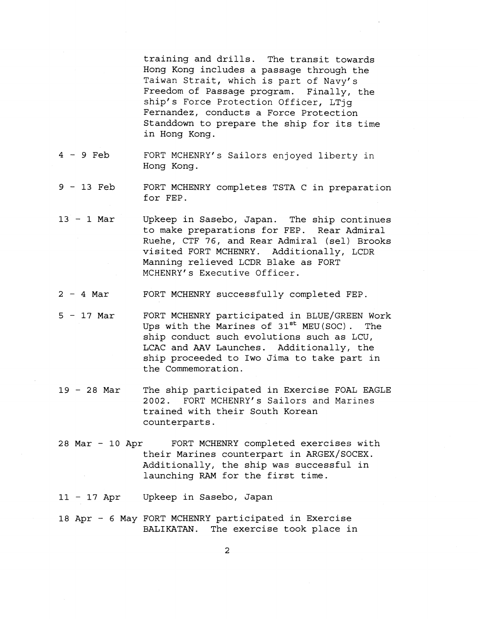training and drills. The transit towards Hong Kong includes a passage through the Taiwan Strait, which is part of Navy's Freedom of Passage program. Finally, the ship's Force Protection Officer, LTig Fernandez, conducts a Force Protection Standdown to prepare the ship for its time in Hong Kong.

- <sup>4</sup> 9 Feb FORT MCHENRYfs Sailors enjoyed liberty in Hong Kong.
- <sup>9</sup> 13 Feb FORT MCHENRY completes TSTA C in preparation for FEP.
- <sup>13</sup> 1 Mar Upkeep in Sasebo, Japan. The ship continues to make preparations for FEP. Rear Admiral Ruehe, CTF 76, and Rear Admiral (sel) Brooks visited FORT MCHENRY. Additionally, LCDR Manning relieved LCDR Blake as FORT MCHENRY's Executive Officer.
- <sup>2</sup> 4 Mar FORT MCHENRY successfully completed FEP.
- 5 17 Mar FORT MCHENRY participated in BLUE/GREEN Work<br>Uns with the Marines of 31<sup>st</sup> MEU(SOC). The Ups with the Marines of 31<sup>st</sup> MEU(SOC). ship conduct such evolutions such as LCU, LCAC and **AAV** Launches. Additionally, the ship proceeded to Iwo Jima to take part in the Commemoration.
- <sup>19</sup> 28 Mar The ship participated in Exercise FOAL EAGLE 2002. FORT MCHENRYfs Sailors and Marines trained with their South Korean counterparts.
- 28 Mar 10 Apr FORT MCHENRY completed exercises with their Marines counterpart in ARGEX/SOCEX. Additionally, the ship was successful in launching RAM for the first time.

<sup>11</sup>- 17 Apr Upkeep in Sasebo, Japan

18 Apr - 6 May FORT MCHENRY participated in Exercise BALIKATAN. The exercise took place in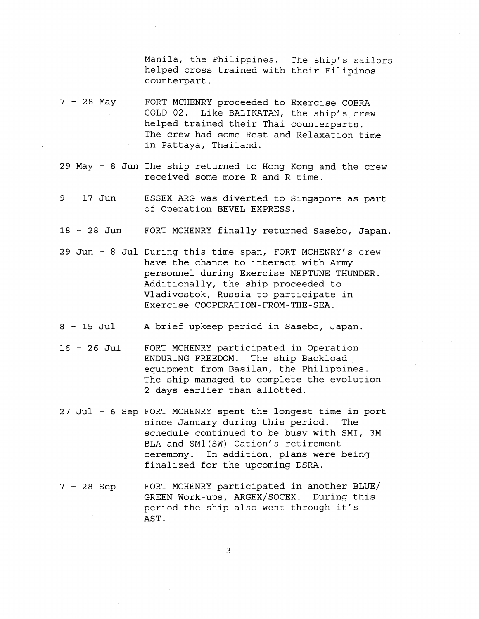Manila, the Philippines. The ship's sailors helped cross trained with their Filipinos counterpart.

- $7 28$  May FORT MCHENRY proceeded to Exercise COBRA GOLD 02. Like BALIKATAN, the ship's crew helped trained their Thai counterparts. The crew had some Rest and Relaxation time in Pattaya, Thailand.
- 29 May 8 Jun The ship returned to Hong Kong and the crew received some more R and R time.
- <sup>9</sup> 17 Jun ESSEX ARG was diverted to Singapore as part of Operation BEVEL EXPRESS.
- <sup>18</sup> 28 Jun FORT MCHENRY finally returned Sasebo, Japan.
- 29 Jun 8 Jul During this time span, FORT MCHENRY's crew have the chance to interact with Army personnel during Exercise NEPTUNE THUNDER. Additionally, the ship proceeded to Vladivostok, Russia to participate in Exercise COOPERATION-FROM-THE-SEA.
- <sup>8</sup> 15 Jul A brief upkeep period in Sasebo, Japan.
- <sup>16</sup> 26 Jul FORT MCHENRY participated in Operation ENDURING FREEDOM. The ship Backload equipment from Basilan, the Philippines. The ship managed to complete the evolution 2 days earlier than allotted.
- 27 Jul 6 Sep FORT MCHENRY spent the longest time in port since January during this period. The schedule continued to be busy with SMI, 3M BLA and SM1(SW) Cation's retirement ceremony. In addition, plans were being finalized for the upcoming DSRA.
- <sup>7</sup> 28 Sep FORT MCHENRY participated in another BLUE/ GREEN Work-ups, ARGEX/SOCEX. During this period the ship also went through it's AST .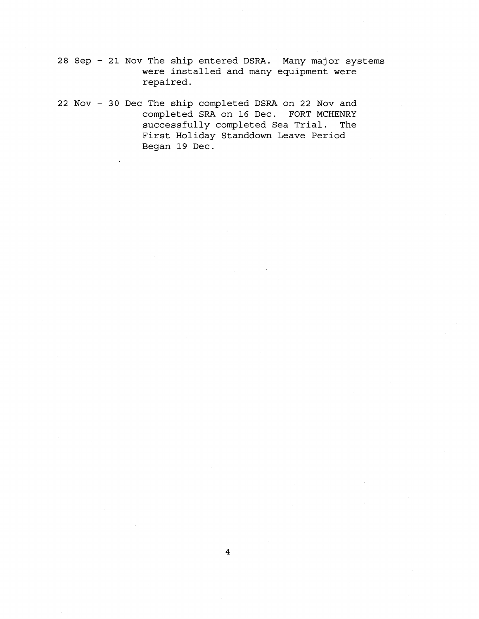**28 Sep** - **21 Nov The ship entered DSRA. Many major systems were installed and many equipment were repaired.** 

**22 Nov** - **30 Dec The ship completed DSRA on 22 Nov and completed SRA on 16 Dec. FORT MCHENRY successfully completed Sea Trial. The First Holiday Standdown Leave Period Began 19 Dec.**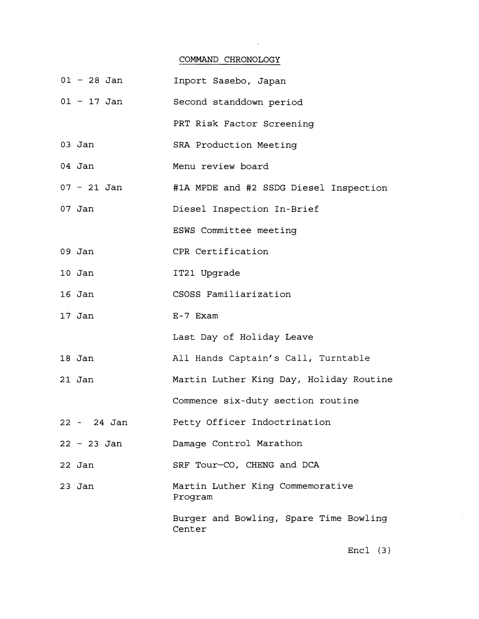# COMMAND CHRONOLOGY

| 01 - 28 Jan   | Inport Sasebo, Japan                             |
|---------------|--------------------------------------------------|
| $01 - 17$ Jan | Second standdown period                          |
|               | PRT Risk Factor Screening                        |
| $03$ Jan      | SRA Production Meeting                           |
| 04 Jan        | Menu review board                                |
| $07 - 21$ Jan | #1A MPDE and #2 SSDG Diesel Inspection           |
| 07 Jan        | Diesel Inspection In-Brief                       |
|               | ESWS Committee meeting                           |
| $09$ Jan      | CPR Certification                                |
| $10$ Jan      | IT21 Upgrade                                     |
| 16 Jan        | CSOSS Familiarization                            |
| 17 Jan        | E-7 Exam                                         |
|               | Last Day of Holiday Leave                        |
| 18 Jan        | All Hands Captain's Call, Turntable              |
| 21 Jan        | Martin Luther King Day, Holiday Routine          |
|               | Commence six-duty section routine                |
| 22 - 24 Jan   | Petty Officer Indoctrination                     |
| $22 - 23$ Jan | Damage Control Marathon                          |
| 22 Jan        | SRF Tour-CO, CHENG and DCA                       |
| $23$ Jan      | Martin Luther King Commemorative<br>Program      |
|               | Burger and Bowling, Spare Time Bowling<br>Center |

Encl (3)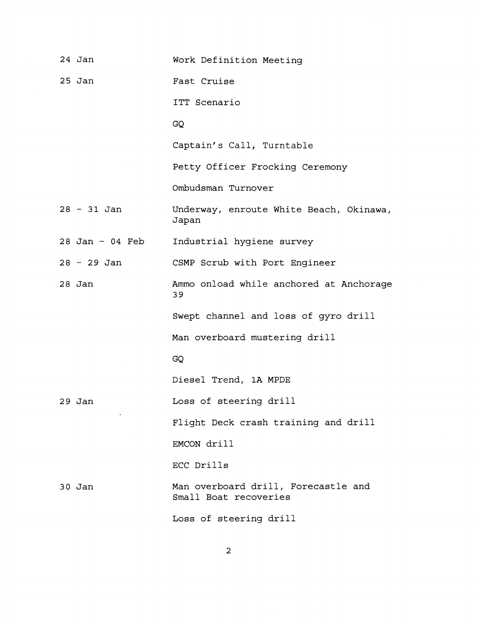| 24 Jan            | Work Definition Meeting                                      |
|-------------------|--------------------------------------------------------------|
| $25$ Jan          | Fast Cruise                                                  |
|                   | ITT Scenario                                                 |
|                   | GQ                                                           |
|                   | Captain's Call, Turntable                                    |
|                   | Petty Officer Frocking Ceremony                              |
|                   | Ombudsman Turnover                                           |
| $28 - 31$ Jan     | Underway, enroute White Beach, Okinawa,<br>Japan             |
| $28$ Jan - 04 Feb | Industrial hygiene survey                                    |
| $28 - 29$ Jan     | CSMP Scrub with Port Engineer                                |
| $28$ Jan          | Ammo onload while anchored at Anchorage<br>39                |
|                   | Swept channel and loss of gyro drill                         |
|                   | Man overboard mustering drill                                |
|                   | GQ                                                           |
|                   | Diesel Trend, 1A MPDE                                        |
| 29 Jan            | Loss of steering drill                                       |
|                   | Flight Deck crash training and drill                         |
|                   | EMCON drill                                                  |
|                   | ECC Drills                                                   |
| $30$ Jan          | Man overboard drill, Forecastle and<br>Small Boat recoveries |
|                   | Loss of steering drill                                       |

 $\overline{\mathbf{c}}$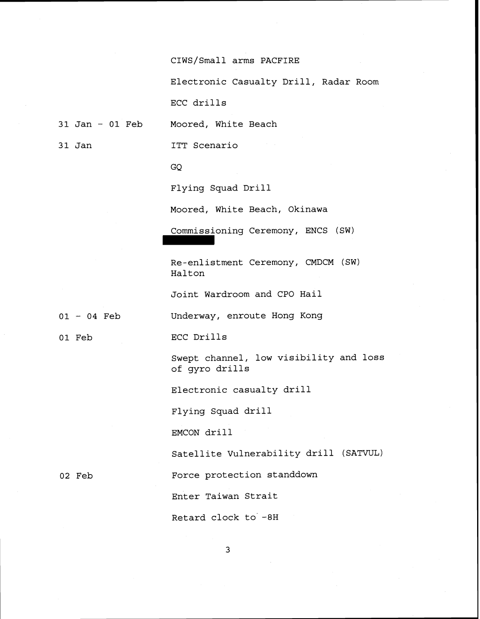CIWS/Small arms PACFIRE

Electronic Casualty Drill, Radar Room

ECC drills

31 Jan - **01** Feb Moored, White Beach

3 1 Jan ITT Scenario

**GQ** 

Flying Squad Drill

Moored, White Beach, Okinawa

Commissioning Ceremony, ENCS (SW)

Re-enlistment Ceremony, CMDCM (SW) Halton

Joint Wardroom and CPO Hail

Underway, enroute Hong Kong

**01** Feb

**<sup>01</sup>**- **04** Feb

ECC Drills

Swept channel, low visibility and loss of gyro drills

Electronic casualty drill

Flying Squad drill

EMCON drill

Satellite Vulnerability drill (SATWL)

**02** Feb

Force protection standdown

Enter Taiwan Strait

Retard clock to' -8H

 $\overline{3}$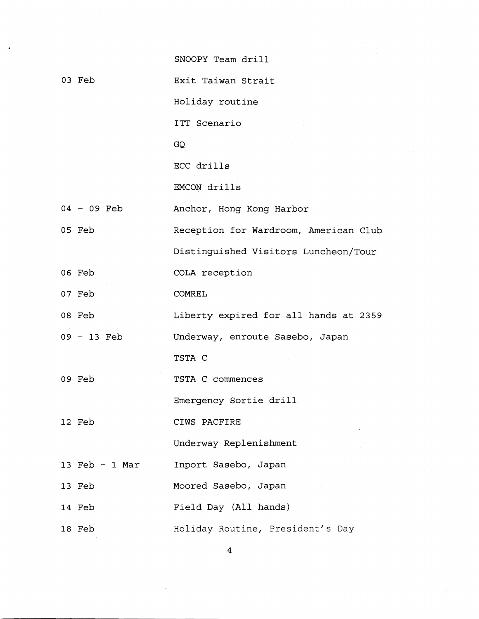|                  | SNOOPY Team drill                     |
|------------------|---------------------------------------|
| 03 Feb           | Exit Taiwan Strait                    |
|                  | Holiday routine                       |
|                  | ITT Scenario                          |
|                  | GQ                                    |
|                  | ECC drills                            |
|                  | EMCON drills                          |
| 04 - 09 Feb      | Anchor, Hong Kong Harbor              |
| 05 Feb           | Reception for Wardroom, American Club |
|                  | Distinguished Visitors Luncheon/Tour  |
| 06 Feb           | COLA reception                        |
| 07 Feb           | <b>COMREL</b>                         |
| 08 Feb           | Liberty expired for all hands at 2359 |
| 09 - 13 Feb      | Underway, enroute Sasebo, Japan       |
|                  | TSTA C                                |
| 09 Feb           | TSTA C commences                      |
|                  | Emergency Sortie drill                |
| 12 Feb           | CIWS PACFIRE                          |
|                  | Underway Replenishment                |
| 13 Feb $-$ 1 Mar | Inport Sasebo, Japan                  |
| 13 Feb           | Moored Sasebo, Japan                  |
| 14 Feb           | Field Day (All hands)                 |
| 18 Feb           | Holiday Routine, President's Day      |
|                  | 4                                     |
|                  |                                       |

 $\cdot$ 

 $\hat{\mathcal{L}}$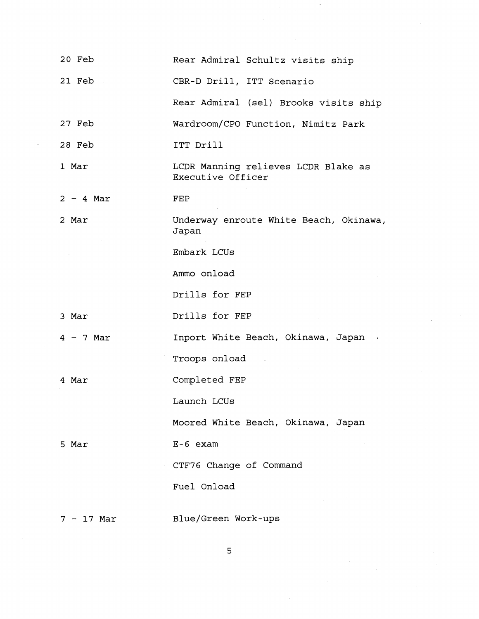| 20 Feb      | Rear Admiral Schultz visits ship                         |
|-------------|----------------------------------------------------------|
| 21 Feb      | CBR-D Drill, ITT Scenario                                |
|             | Rear Admiral (sel) Brooks visits ship                    |
| 27 Feb      | Wardroom/CPO Function, Nimitz Park                       |
| 28 Feb      | ITT Drill                                                |
| 1 Mar       | LCDR Manning relieves LCDR Blake as<br>Executive Officer |
| $2 - 4$ Mar | FEP                                                      |
| 2 Mar       | Underway enroute White Beach, Okinawa,<br>Japan          |
|             | Embark LCUs                                              |
|             | Ammo onload                                              |
|             | Drills for FEP                                           |
| 3 Mar       | Drills for FEP                                           |
| $4 - 7$ Mar | Inport White Beach, Okinawa, Japan .                     |
|             | Troops onload                                            |
| 4 Mar       | Completed FEP                                            |
|             | Launch LCUs                                              |
|             | Moored White Beach, Okinawa, Japan                       |
| 5 Mar       | $E-6$ exam                                               |
|             | CTF76 Change of Command                                  |
|             | Fuel Onload                                              |
| 7 - 17 Mar  | Blue/Green Work-ups                                      |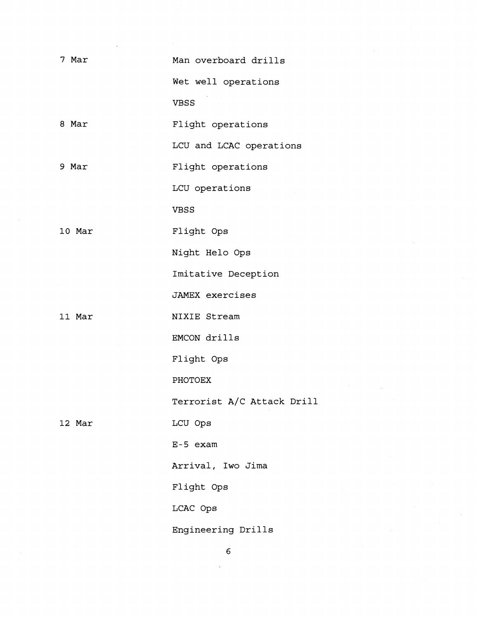7 Mar

Man overboard drills

Wet well operations VBSS

8 Mar Flight operations

LCU and LCAC operations

9 Mar

Flight operations

LCU operations

VBSS

10 Mar

Night Helo Ops

Flight Ops

Imitative Deception

**JAMEX** exercises

11 Mar

NIXIE Stream

EMCON drills

Flight Ops

PHOTOEX

Terrorist A/C Attack Drill

12 Mar

LCU ops

E-5 exam

Arrival, Iwo Jima

Flight Ops

LCAC Ops

Engineering Drills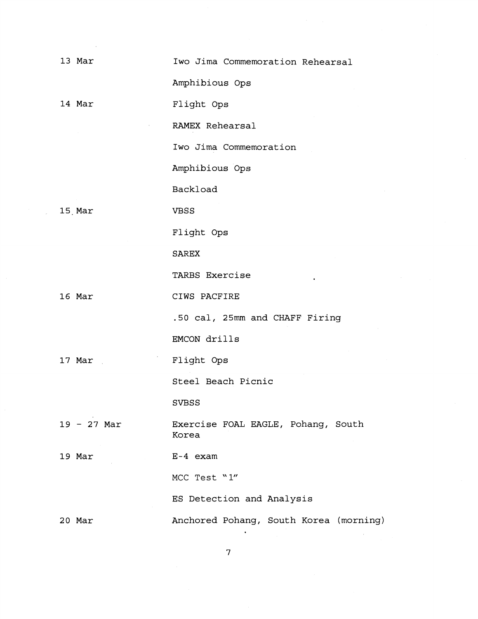| 13 Mar        | Iwo Jima Commemoration Rehearsal            |
|---------------|---------------------------------------------|
|               | Amphibious Ops                              |
| 14 Mar        | Flight Ops                                  |
|               | RAMEX Rehearsal                             |
|               | Iwo Jima Commemoration                      |
|               | Amphibious Ops                              |
|               | Backload                                    |
| 15 Mar        | <b>VBSS</b>                                 |
|               | Flight Ops                                  |
|               | <b>SAREX</b>                                |
|               | TARBS Exercise                              |
| 16 Mar        | CIWS PACFIRE                                |
|               | .50 cal, 25mm and CHAFF Firing              |
|               | EMCON drills                                |
| 17 Mar        | Flight Ops                                  |
|               | Steel Beach Picnic                          |
|               | <b>SVBSS</b>                                |
| $19 - 27$ Mar | Exercise FOAL EAGLE, Pohang, South<br>Korea |
| 19 Mar        | E-4 exam                                    |
|               | MCC Test "1"                                |
|               | ES Detection and Analysis                   |
| 20 Mar        | Anchored Pohang, South Korea (morning)      |

 $\mathbf{7}$ 

 $\ddot{\phantom{0}}$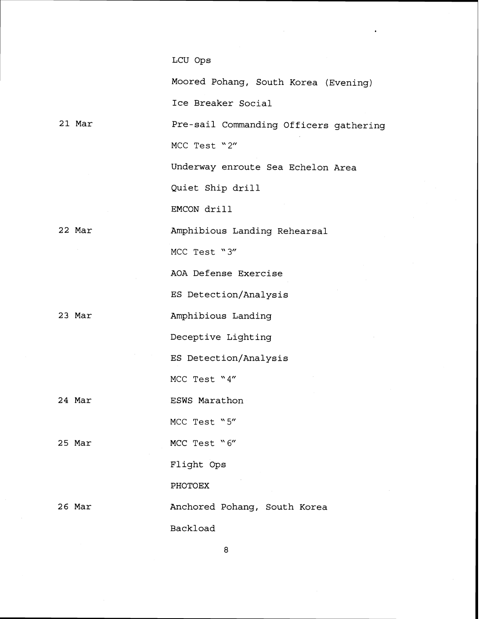### LCU Ops

21 Mar 22 Mar 23 Mar 24 Mar 25 Mar 26 Mar Moored Pohang, South Korea (Evening) Ice Breaker Social Pre-sail Commanding Officers gathering **MCC** Test '2" Underway enroute Sea Echelon Area Quiet Ship drill EMCON drill Amphibious Landing Rehearsal **MCC** Test **"3"**  AOA Defense Exercise ES Detection/Analysis Amphibious Landing Deceptive Lighting ES Detection/Analysis **MCC** Test '4" ESWS Marathon **MCC** Test "5" **MCC** Test "6" Flight Ops **PHOTOEX**  Anchored Pohang, South Korea Backload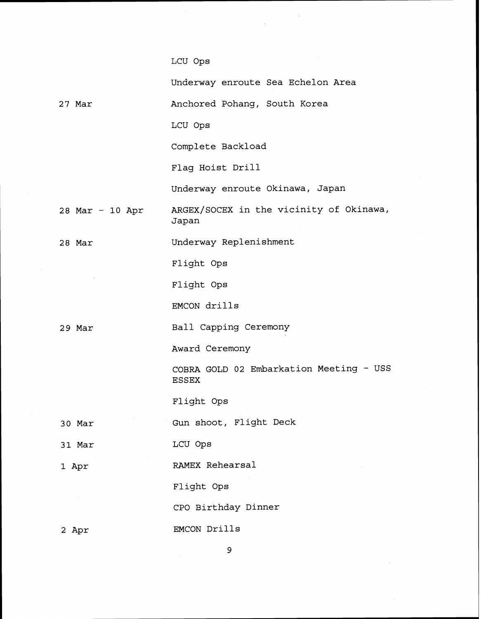## LCU Ops

27 Mar Underway enroute Sea Echelon Area Anchored Pohang, South Korea LCU Ops Complete Backload Flag Hoist Drill Underway enroute Okinawa, Japan 28 Mar - 10 Apr ARGEx/soCEX in the vicinity of Okinawa, Japan 28 Mar 29 Mar 30 Mar 31 Mar 1 Apr 2 Apr Underway Replenishment Flight Ops Flight Ops EMCON drills Ball Capping Ceremony Award Ceremony COBRA GOLD 02 Embarkation Meeting - USS ESSEX Flight Ops Gun shoot, Flight Deck LCU ops RAMEX Rehearsal Flight Ops CPO Birthday Dinner EMCON Drills

 $\mathbf{9}$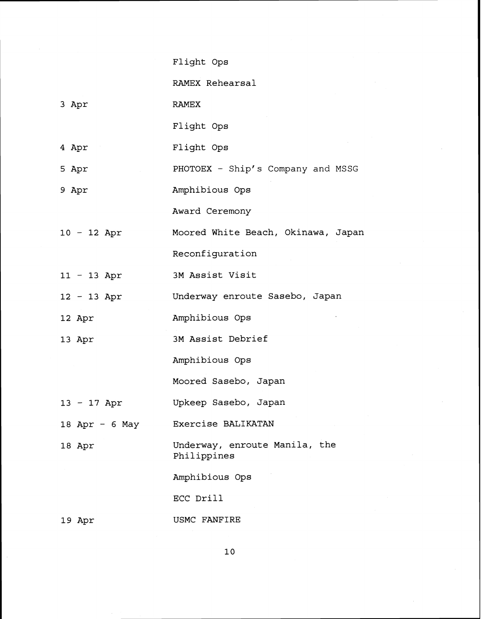| Flight Ops |  |
|------------|--|
|------------|--|

RAMEX Rehearsal

3 Apr RAMEX

Flight Ops

- 4 Apr Flight Ops
- 5 Apr PHOTOEX - Ship's Company and MSSG
- 9 Apr Amphibious Ops

Award Ceremony

- <sup>10</sup> 12 Apr Moored White Beach, Okinawa, Japan Reconfiguration
- <sup>11</sup> 13 Apr 3M Assist Visit
- <sup>12</sup> 13 Apr Underway enroute Sasebo, Japan
- 12 Apr Amphibious Ops
- 13 Apr 3M Assist Debrief

Amphibious Ops

Moored Sasebo, Japan

- <sup>13</sup> 17 Apr Upkeep Sasebo, Japan
- 18 Apr 6 May Exercise BALIKATAN
- 18 Apr Underway, enroute Manila, the Philippines

Amphibious Ops

ECC Drill

19 Apr USMC FANFIRE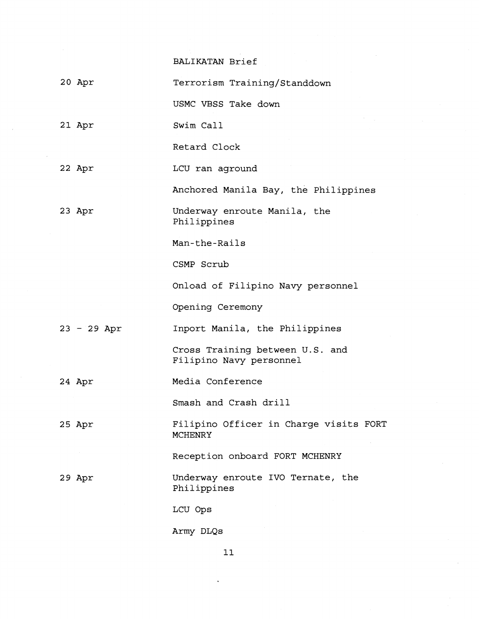BALIKATAN Brief

20 Apr Terrorism Training/Standdown USMC VBSS Take down 21 Apr Swim Call Retard Clock 22 Apr LCU ran aground Anchored Manila Bay, the Philippines 23 Apr Underway enroute Manila, the Philippines Man-the-Rails CSMP Scrub Onload of Filipino Navy personnel Opening Ceremony Inport Manila, the Philippines <sup>23</sup>- 29 Apr Cross Training between U.S. and Filipino Navy personnel 24 Apr Media Conference Smash and Crash drill Filipino Officer in Charge visits FORT 25 Apr **MCHENRY** Reception onboard FORT MCHENRY 29 Apr Underway enroute IVO Ternate, the Philippines LCU ops Army DLQs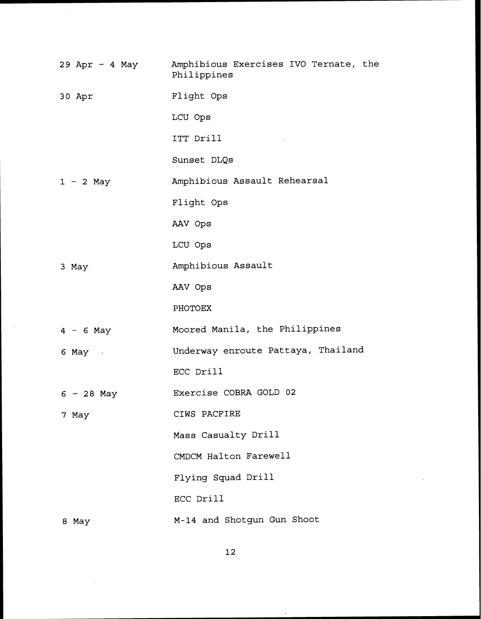| 29 Apr - 4 May  | Amphibious Exercises IVO Ternate, the<br>Philippines |
|-----------------|------------------------------------------------------|
| 30 Apr          | Flight Ops                                           |
|                 | LCU Ops                                              |
|                 | ITT Drill                                            |
|                 | Sunset DLQs                                          |
| $1 - 2$ May     | Amphibious Assault Rehearsal                         |
|                 | Flight Ops                                           |
|                 | AAV Ops                                              |
|                 | LCU Ops                                              |
| 3 May           | Amphibious Assault                                   |
|                 | AAV Ops                                              |
|                 | PHOTOEX                                              |
| $4 - 6$ May     | Moored Manila, the Philippines                       |
| $6$ May $\cdot$ | Underway enroute Pattaya, Thailand                   |
|                 | ECC Drill                                            |
| $6 - 28$ May    | Exercise COBRA GOLD 02                               |
| 7 May           | CIWS PACFIRE                                         |
|                 | Mass Casualty Drill                                  |
|                 | CMDCM Halton Farewell                                |
|                 | Flying Squad Drill                                   |
|                 | ECC Drill                                            |
| 8 May           | M-14 and Shotgun Gun Shoot                           |

 $\bar{\alpha}$ 

 $\mathbf{12}%$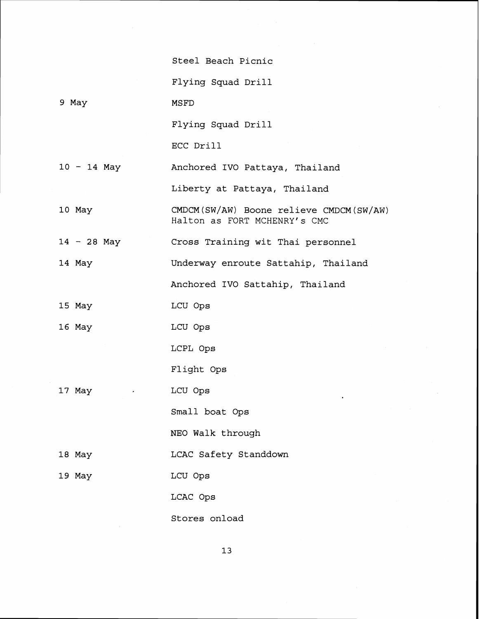|               | Steel Beach Picnic                                                      |
|---------------|-------------------------------------------------------------------------|
|               | Flying Squad Drill                                                      |
| 9 May         | MSFD                                                                    |
|               | Flying Squad Drill                                                      |
|               | ECC Drill                                                               |
| $10 - 14$ May | Anchored IVO Pattaya, Thailand                                          |
|               | Liberty at Pattaya, Thailand                                            |
| 10 May        | CMDCM(SW/AW) Boone relieve CMDCM(SW/AW)<br>Halton as FORT MCHENRY's CMC |
| $14 - 28$ May | Cross Training wit Thai personnel                                       |
| 14 May        | Underway enroute Sattahip, Thailand                                     |
|               | Anchored IVO Sattahip, Thailand                                         |
| 15 May        | LCU Ops                                                                 |
| 16 May        | LCU Ops                                                                 |
|               | LCPL Ops                                                                |
|               | Flight Ops                                                              |
| 17 May        | LCU Ops                                                                 |
|               | Small boat Ops                                                          |
|               | NEO Walk through                                                        |
| 18 May        | LCAC Safety Standdown                                                   |
| 19 May        | LCU Ops                                                                 |
|               | LCAC Ops                                                                |
|               | Stores onload                                                           |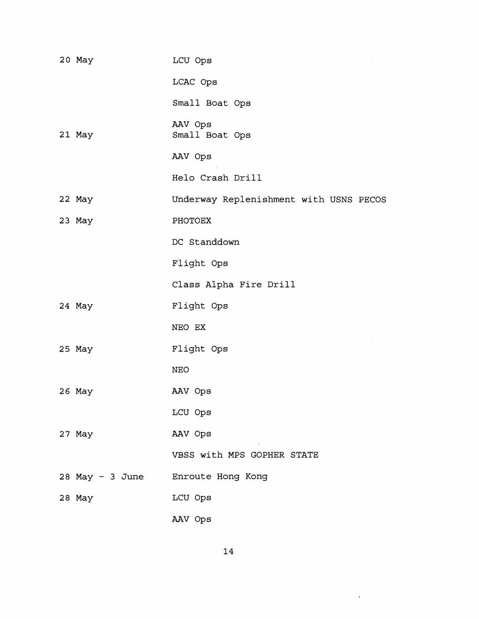| 20 May          | LCU Ops                                |
|-----------------|----------------------------------------|
|                 | LCAC Ops                               |
|                 | Small Boat Ops                         |
| 21 May          | AAV Ops<br>Small Boat Ops              |
|                 | AAV Ops                                |
|                 | Helo Crash Drill                       |
| 22 May          | Underway Replenishment with USNS PECOS |
| 23 May          | PHOTOEX                                |
|                 | DC Standdown                           |
|                 | Flight Ops                             |
|                 | Class Alpha Fire Drill                 |
| 24 May          | Flight Ops                             |
|                 | NEO EX                                 |
| 25 May          | Flight Ops                             |
|                 | <b>NEO</b>                             |
| 26 May          | AAV Ops                                |
|                 | LCU Ops                                |
| 27 May          | AAV Ops                                |
|                 | VBSS with MPS GOPHER STATE             |
| 28 May - 3 June | Enroute Hong Kong                      |
| 28 May          | LCU Ops                                |
|                 | AAV Ops                                |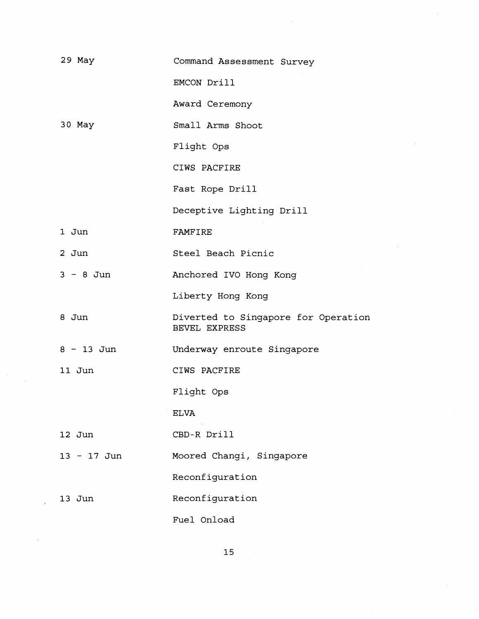| 29 May        | Command Assessment Survey                                   |
|---------------|-------------------------------------------------------------|
|               | EMCON Drill                                                 |
|               |                                                             |
|               | Award Ceremony                                              |
| 30 May        | Small Arms Shoot                                            |
|               | Flight Ops                                                  |
|               | CIWS PACFIRE                                                |
|               | Fast Rope Drill                                             |
|               | Deceptive Lighting Drill                                    |
| 1 Jun         | <b>FAMFIRE</b>                                              |
| $2$ Jun       | Steel Beach Picnic                                          |
| $3 - 8$ Jun   | Anchored IVO Hong Kong                                      |
|               | Liberty Hong Kong                                           |
| 8 Jun         | Diverted to Singapore for Operation<br><b>BEVEL EXPRESS</b> |
| $8 - 13$ Jun  | Underway enroute Singapore                                  |
| 11 Jun        | CIWS PACFIRE                                                |
|               | Flight Ops                                                  |
|               | <b>ELVA</b>                                                 |
| 12 Jun        | CBD-R Drill                                                 |
|               |                                                             |
| $13 - 17$ Jun | Moored Changi, Singapore                                    |
|               | Reconfiguration                                             |
| $13$ Jun      | Reconfiguration                                             |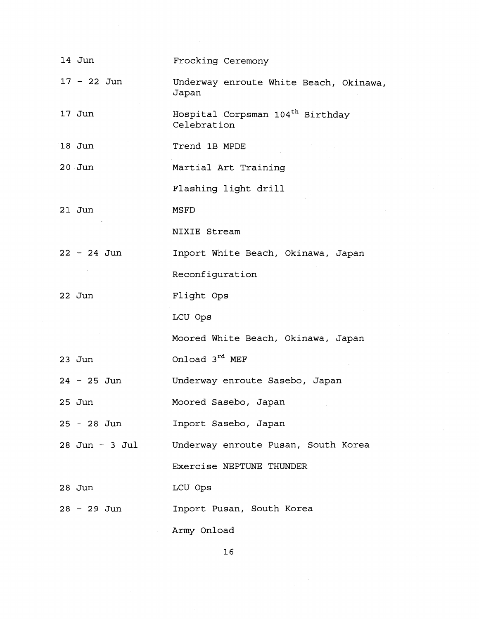| 14 Jun         | Frocking Ceremony                                           |
|----------------|-------------------------------------------------------------|
| $17 - 22$ Jun  | Underway enroute White Beach, Okinawa,<br>Japan             |
| 17 Jun         | Hospital Corpsman 104 <sup>th</sup> Birthday<br>Celebration |
| 18 Jun         | Trend 1B MPDE                                               |
| $20$ Jun       | Martial Art Training                                        |
|                | Flashing light drill                                        |
| $21$ Jun       | MSFD                                                        |
|                | NIXIE Stream                                                |
| $22 - 24$ Jun  | Inport White Beach, Okinawa, Japan                          |
|                | Reconfiguration                                             |
| 22 Jun         | Flight Ops                                                  |
|                | LCU Ops                                                     |
|                | Moored White Beach, Okinawa, Japan                          |
| $23$ Jun       | Onload 3rd MEF                                              |
| $24 - 25$ Jun  | Underway enroute Sasebo, Japan                              |
| 25 Jun         | Moored Sasebo, Japan                                        |
| 25 - 28 Jun    | Inport Sasebo, Japan                                        |
| 28 Jun - 3 Jul | Underway enroute Pusan, South Korea                         |
|                | Exercise NEPTUNE THUNDER                                    |
| $28$ Jun       | LCU Ops                                                     |
| 28 - 29 Jun    | Inport Pusan, South Korea                                   |
|                | Army Onload                                                 |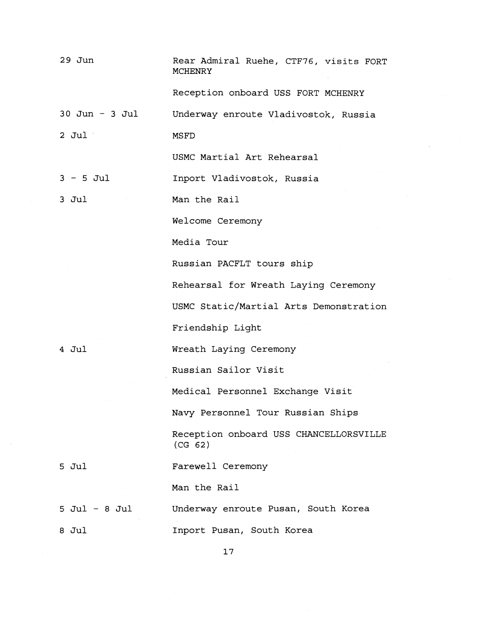| $29$ Jun           | Rear Admiral Ruehe, CTF76, visits FORT<br>MCHENRY |
|--------------------|---------------------------------------------------|
|                    | Reception onboard USS FORT MCHENRY                |
| $30$ Jun - $3$ Jul | Underway enroute Vladivostok, Russia              |
| $2$ Jul            | MSFD                                              |
|                    | USMC Martial Art Rehearsal                        |
| $3 - 5$ Jul        | Inport Vladivostok, Russia                        |
| 3 Jul              | Man the Rail                                      |
|                    | Welcome Ceremony                                  |
|                    | Media Tour                                        |
|                    | Russian PACFLT tours ship                         |
|                    | Rehearsal for Wreath Laying Ceremony              |
|                    | USMC Static/Martial Arts Demonstration            |
|                    | Friendship Light                                  |
| $4$ Jul            | Wreath Laying Ceremony                            |
|                    | Russian Sailor Visit                              |
|                    | Medical Personnel Exchange Visit                  |
|                    | Navy Personnel Tour Russian Ships                 |
|                    | Reception onboard USS CHANCELLORSVILLE<br>(CG 62) |
| 5 Jul              | Farewell Ceremony                                 |
|                    | Man the Rail                                      |
| $5$ Jul - 8 Jul    | Underway enroute Pusan, South Korea               |
| 8 Jul              | Inport Pusan, South Korea                         |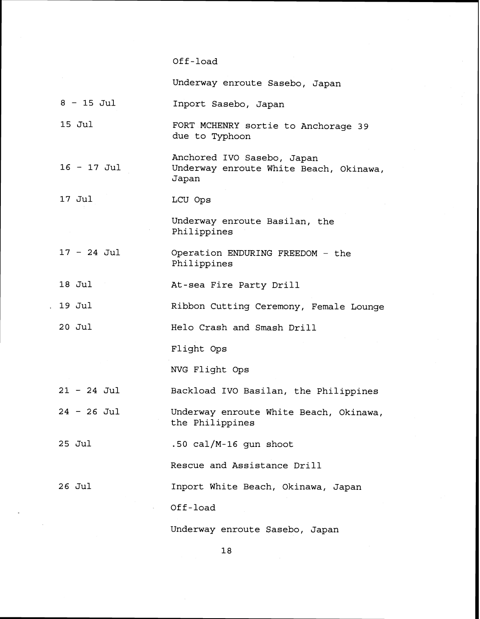### Off -load

Underway enroute Sasebo, Japan

- **<sup>8</sup> 15** Jul Inport Sasebo, Japan
- **15** Jul FORT MCHENRY sortie to Anchorage **39**  due to Typhoon
- <sup>16</sup> **17** Jul Anchored IVO Sasebo, Japan Underway enroute White Beach, Okinawa, Japan
- **17** Jul LCU ops

Underway enroute Basilan, the Philippines

- **<sup>17</sup> 24** Jul Operation ENDURING FREEDOM - the Philippines
- **18** Jul At-sea Fire Party Drill
- . **19** Jul Ribbon Cutting Ceremony, Female Lounge

**2 0** Jul Helo Crash and Smash Drill

Flight Ops

NVG Flight Ops

- **<sup>21</sup> 24** Jul Backload IVO Basilan, the Philippines
- **<sup>24</sup>** 26 Jul Underway enroute White Beach, Okinawa, the Philippines
- **25** Jul **.50** cal/M-16 gun shoot

Rescue and Assistance Drill

26 Jul Inport White Beach, Okinawa, Japan

Off -load

Underway enroute Sasebo, Japan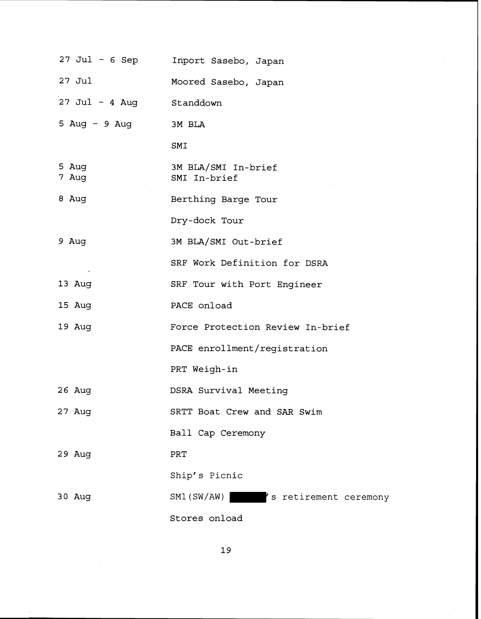| 27 Jul - 6 Sep           | Inport Sasebo, Japan                |
|--------------------------|-------------------------------------|
| $27$ Jul                 | Moored Sasebo, Japan                |
| 27 Jul - 4 Aug Standdown |                                     |
| 5 Aug - 9 Aug            | 3M BLA                              |
|                          | SMI                                 |
| 5 Aug<br>7 Aug           | 3M BLA/SMI In-brief<br>SMI In-brief |
| 8 Aug                    | Berthing Barge Tour                 |
|                          | Dry-dock Tour                       |
| 9 Aug                    | 3M BLA/SMI Out-brief                |
|                          | SRF Work Definition for DSRA        |
| 13 Aug                   | SRF Tour with Port Engineer         |
| 15 Aug                   | PACE onload                         |
| 19 Aug                   | Force Protection Review In-brief    |
|                          | PACE enrollment/registration        |
|                          | PRT Weigh-in                        |
| 26 Aug                   | DSRA Survival Meeting               |
| 27 Aug                   | SRTT Boat Crew and SAR Swim         |
|                          | Ball Cap Ceremony                   |
| $29$ Aug                 | PRT                                 |
|                          | Ship's Picnic                       |
| $30$ Aug                 | SM1(SW/AW)<br>s retirement ceremony |
|                          | Stores onload                       |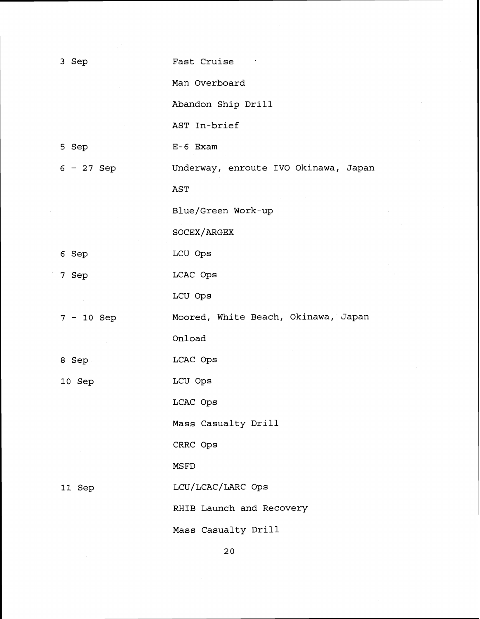| 3 Sep        | Fast Cruise                          |
|--------------|--------------------------------------|
|              | Man Overboard                        |
|              | Abandon Ship Drill                   |
|              | AST In-brief                         |
| 5 Sep        | $E-6$ Exam                           |
| $6 - 27$ Sep | Underway, enroute IVO Okinawa, Japan |
|              | AST                                  |
|              | Blue/Green Work-up                   |
|              | SOCEX/ARGEX                          |
| 6 Sep        | LCU Ops                              |
| 7 Sep        | LCAC Ops                             |
|              | LCU Ops                              |
| $7 - 10$ Sep | Moored, White Beach, Okinawa, Japan  |
|              | Onload                               |
| 8 Sep        | LCAC Ops                             |
| 10 Sep       | LCU Ops                              |
|              | LCAC Ops                             |
|              | Mass Casualty Drill                  |
|              | CRRC Ops                             |
|              | MSFD                                 |
| 11 Sep       | LCU/LCAC/LARC Ops                    |
|              | RHIB Launch and Recovery             |
|              | Mass Casualty Drill                  |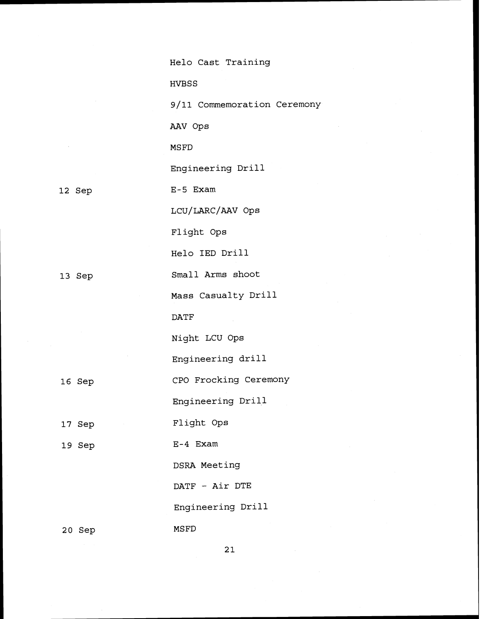|        | Helo Cast Training          |
|--------|-----------------------------|
|        | <b>HVBSS</b>                |
|        | 9/11 Commemoration Ceremony |
|        | AAV Ops                     |
|        | <b>MSFD</b>                 |
|        | Engineering Drill           |
| 12 Sep | $E-5$ Exam                  |
|        | LCU/LARC/AAV Ops            |
|        | Flight Ops                  |
|        | Helo IED Drill              |
| 13 Sep | Small Arms shoot            |
|        | Mass Casualty Drill         |
|        | <b>DATF</b>                 |
|        | Night LCU Ops               |
|        | Engineering drill           |
| 16 Sep | CPO Frocking Ceremony       |
|        | Engineering Drill           |
| 17 Sep | Flight Ops                  |
| 19 Sep | $E-4$ Exam                  |
|        | DSRA Meeting                |
|        | DATF - Air DTE              |
|        | Engineering Drill           |
| 20 Sep | MSFD                        |

13

16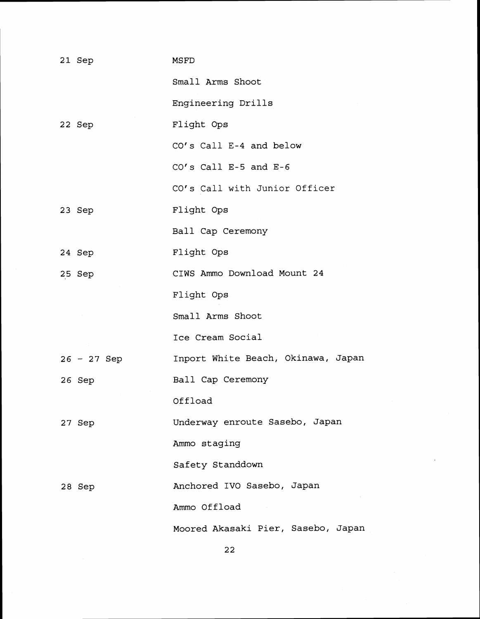| 21 Sep        | MSFD                               |
|---------------|------------------------------------|
|               | Small Arms Shoot                   |
|               | Engineering Drills                 |
| 22 Sep        | Flight Ops                         |
|               | CO's Call E-4 and below            |
|               | $CO's$ Call E-5 and E-6            |
|               | CO's Call with Junior Officer      |
| 23 Sep        | Flight Ops                         |
|               | Ball Cap Ceremony                  |
| 24 Sep        | Flight Ops                         |
| 25 Sep        | CIWS Ammo Download Mount 24        |
|               | Flight Ops                         |
|               | Small Arms Shoot                   |
|               | Ice Cream Social                   |
| $26 - 27$ Sep | Inport White Beach, Okinawa, Japan |
| 26 Sep        | Ball Cap Ceremony                  |
|               | Offload                            |
| 27 Sep        | Underway enroute Sasebo, Japan     |
|               | Ammo staging                       |
|               | Safety Standdown                   |
| 28 Sep        | Anchored IVO Sasebo, Japan         |
|               | Ammo Offload                       |
|               | Moored Akasaki Pier, Sasebo, Japan |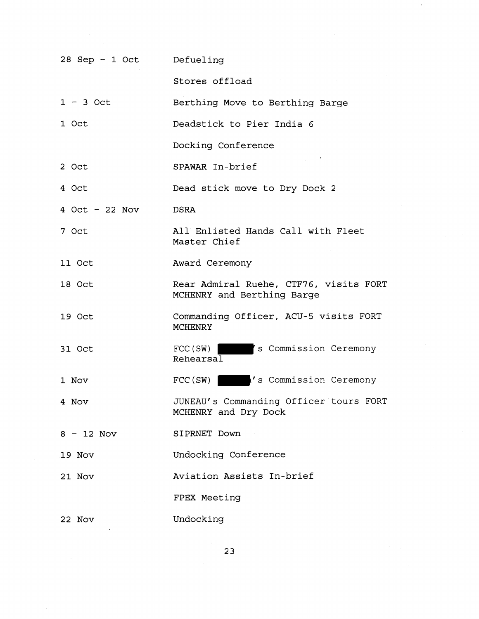| 28 Sep - 1 Oct   | Defueling                                                            |
|------------------|----------------------------------------------------------------------|
|                  | Stores offload                                                       |
| $1 - 3$ Oct      | Berthing Move to Berthing Barge                                      |
| 1 Oct            | Deadstick to Pier India 6                                            |
|                  | Docking Conference                                                   |
| 2 Oct            | SPAWAR In-brief                                                      |
| 4 Oct            | Dead stick move to Dry Dock 2                                        |
| $4$ Oct - 22 Nov | <b>DSRA</b>                                                          |
| 7 Oct            | All Enlisted Hands Call with Fleet<br>Master Chief                   |
| 11 Oct           | Award Ceremony                                                       |
| 18 Oct           | Rear Admiral Ruehe, CTF76, visits FORT<br>MCHENRY and Berthing Barge |
| 19 Oct           | Commanding Officer, ACU-5 visits FORT<br><b>MCHENRY</b>              |
| 31 Oct           | 's Commission Ceremony<br>$\text{FCC}(\text{SW})$<br>Rehearsal       |
| 1 Nov            | 's Commission Ceremony<br>FCC(SW)                                    |
| 4 Nov            | JUNEAU's Commanding Officer tours FORT<br>MCHENRY and Dry Dock       |
| $8 - 12$ Nov     | SIPRNET Down                                                         |
| 19 Nov           | Undocking Conference                                                 |
| 21 Nov           | Aviation Assists In-brief                                            |
|                  | FPEX Meeting                                                         |
| 22 Nov           | Undocking                                                            |

 $\ddot{\phantom{0}}$